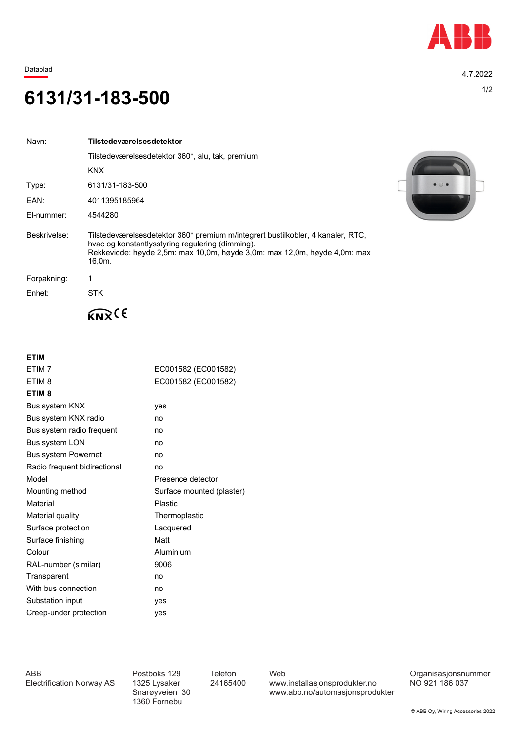

Datablad 4.7.2022

## 1/2 **6131/31-183-500**

| Navn:        | Tilstedeværelsesdetektor                                                                                                                                                                                                   |
|--------------|----------------------------------------------------------------------------------------------------------------------------------------------------------------------------------------------------------------------------|
|              | Tilstedeværelsesdetektor 360*, alu, tak, premium                                                                                                                                                                           |
|              | <b>KNX</b>                                                                                                                                                                                                                 |
| Type:        | 6131/31-183-500                                                                                                                                                                                                            |
| EAN:         | 4011395185964                                                                                                                                                                                                              |
| El-nummer:   | 4544280                                                                                                                                                                                                                    |
| Beskrivelse: | Tilstedeværelsesdetektor 360* premium m/integrert bustilkobler, 4 kanaler, RTC,<br>hvac og konstantlysstyring regulering (dimming).<br>Rekkevidde: høyde 2,5m: max 10,0m, høyde 3,0m: max 12,0m, høyde 4,0m: max<br>16.0m. |
| Forpakning:  |                                                                                                                                                                                                                            |
| Enhet:       | STK.                                                                                                                                                                                                                       |
|              |                                                                                                                                                                                                                            |

| <b>ETIM</b>                  |                           |
|------------------------------|---------------------------|
| ETIM <sub>7</sub>            | EC001582 (EC001582)       |
| FTIM <sub>8</sub>            | EC001582 (EC001582)       |
| ETIM <sub>8</sub>            |                           |
| Bus system KNX               | yes                       |
| Bus system KNX radio         | no                        |
| Bus system radio frequent    | no                        |
| <b>Bus system LON</b>        | no                        |
| Bus system Powernet          | no                        |
| Radio frequent bidirectional | no                        |
| Model                        | Presence detector         |
| Mounting method              | Surface mounted (plaster) |
| Material                     | <b>Plastic</b>            |
| Material quality             | Thermoplastic             |
| Surface protection           | Lacquered                 |
| Surface finishing            | Matt                      |
| Colour                       | Aluminium                 |
| RAL-number (similar)         | 9006                      |
| Transparent                  | no                        |
| With bus connection          | no                        |
| Substation input             | yes                       |
| Creep-under protection       | yes                       |
|                              |                           |



1360 Fornebu

ABB Postboks 129 Telefon Web Postboks 129 Telefon Web Crganisasjonsnummer<br>Electrification Norway AS 1325 Lysaker 24165400 www.installasjonsprodukter.no NO 921 186 037 1325 Lysaker 24165400 www.installasjonsprodukter.no<br>Snarøyveien 30 www.abb.no/automasjonsprodu www.abb.no/automasjonsprodukter